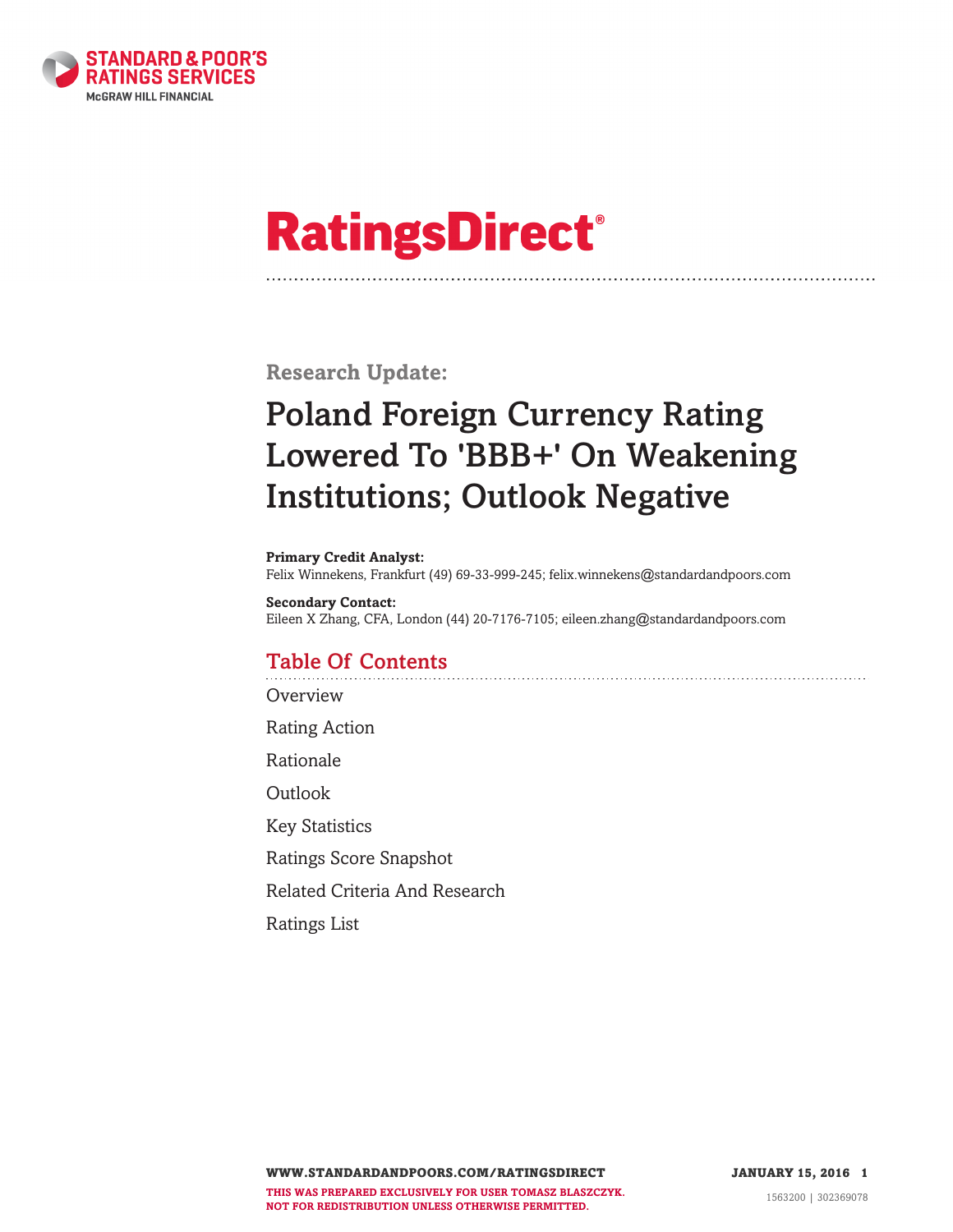

# **RatingsDirect®**

**Research Update:**

# **Poland Foreign Currency Rating Lowered To 'BBB+' On Weakening Institutions; Outlook Negative**

#### **Primary Credit Analyst:**

Felix Winnekens, Frankfurt (49) 69-33-999-245; felix.winnekens@standardandpoors.com

#### **Secondary Contact:** Eileen X Zhang, CFA, London (44) 20-7176-7105; eileen.zhang@standardandpoors.com

# **Table Of Contents**

**[Overview](#page-1-0)** 

Rating [Action](#page-1-0)

[Rationale](#page-1-0)

**[Outlook](#page-4-0)** 

Key [Statistics](#page-5-0)

Ratings Score [Snapshot](#page-6-0)

Related Criteria And [Research](#page-7-0)

[Ratings](#page-8-0) List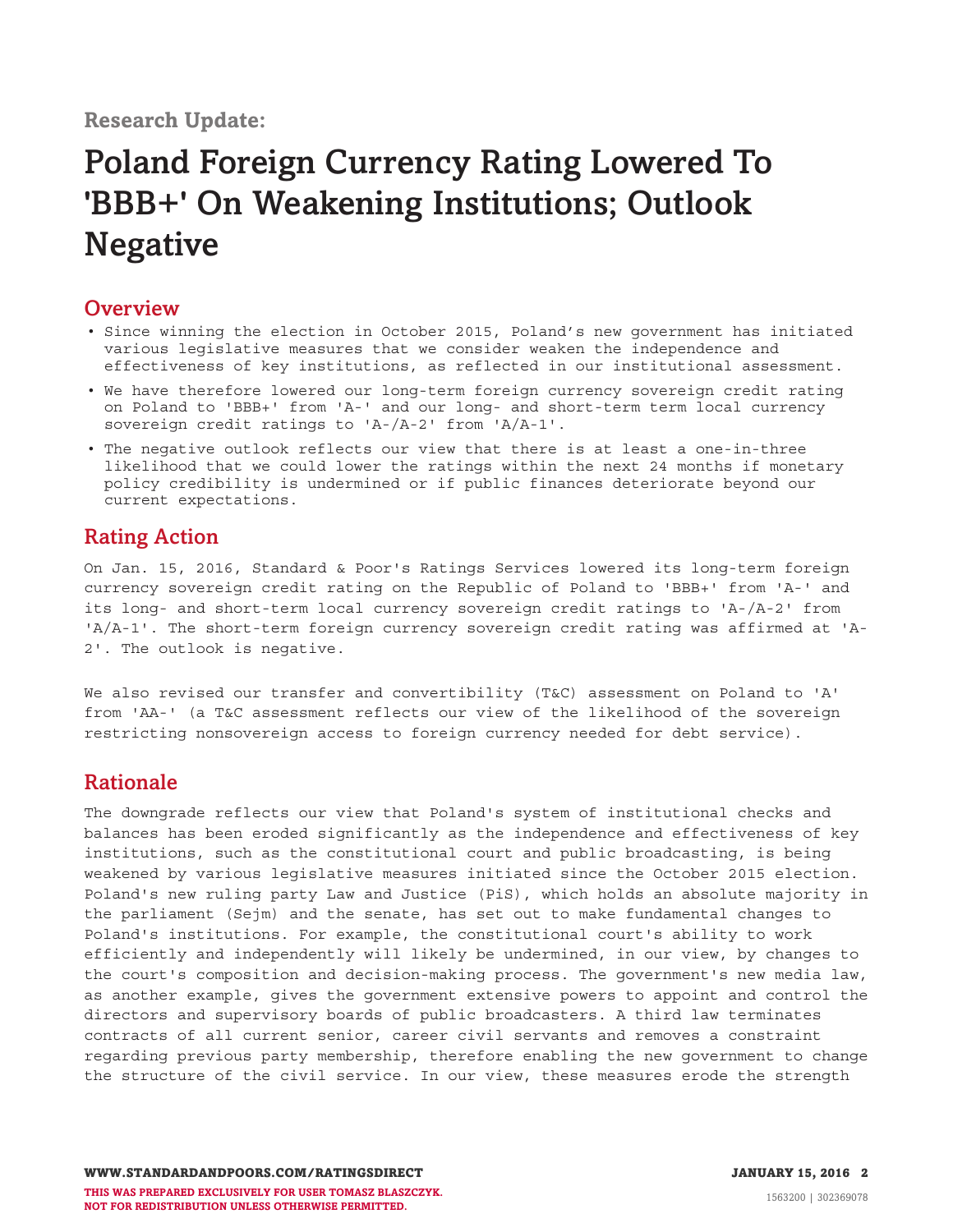# <span id="page-1-0"></span>**Overview**

- Since winning the election in October 2015, Poland's new government has initiated various legislative measures that we consider weaken the independence and effectiveness of key institutions, as reflected in our institutional assessment.
- We have therefore lowered our long-term foreign currency sovereign credit rating on Poland to 'BBB+' from 'A-' and our long- and short-term term local currency sovereign credit ratings to 'A-/A-2' from 'A/A-1'.
- The negative outlook reflects our view that there is at least a one-in-three likelihood that we could lower the ratings within the next 24 months if monetary policy credibility is undermined or if public finances deteriorate beyond our current expectations.

# **Rating Action**

On Jan. 15, 2016, Standard & Poor's Ratings Services lowered its long-term foreign currency sovereign credit rating on the Republic of Poland to 'BBB+' from 'A-' and its long- and short-term local currency sovereign credit ratings to 'A-/A-2' from 'A/A-1'. The short-term foreign currency sovereign credit rating was affirmed at 'A-2'. The outlook is negative.

We also revised our transfer and convertibility (T&C) assessment on Poland to 'A' from 'AA-' (a T&C assessment reflects our view of the likelihood of the sovereign restricting nonsovereign access to foreign currency needed for debt service).

# **Rationale**

The downgrade reflects our view that Poland's system of institutional checks and balances has been eroded significantly as the independence and effectiveness of key institutions, such as the constitutional court and public broadcasting, is being weakened by various legislative measures initiated since the October 2015 election. Poland's new ruling party Law and Justice (PiS), which holds an absolute majority in the parliament (Sejm) and the senate, has set out to make fundamental changes to Poland's institutions. For example, the constitutional court's ability to work efficiently and independently will likely be undermined, in our view, by changes to the court's composition and decision-making process. The government's new media law, as another example, gives the government extensive powers to appoint and control the directors and supervisory boards of public broadcasters. A third law terminates contracts of all current senior, career civil servants and removes a constraint regarding previous party membership, therefore enabling the new government to change the structure of the civil service. In our view, these measures erode the strength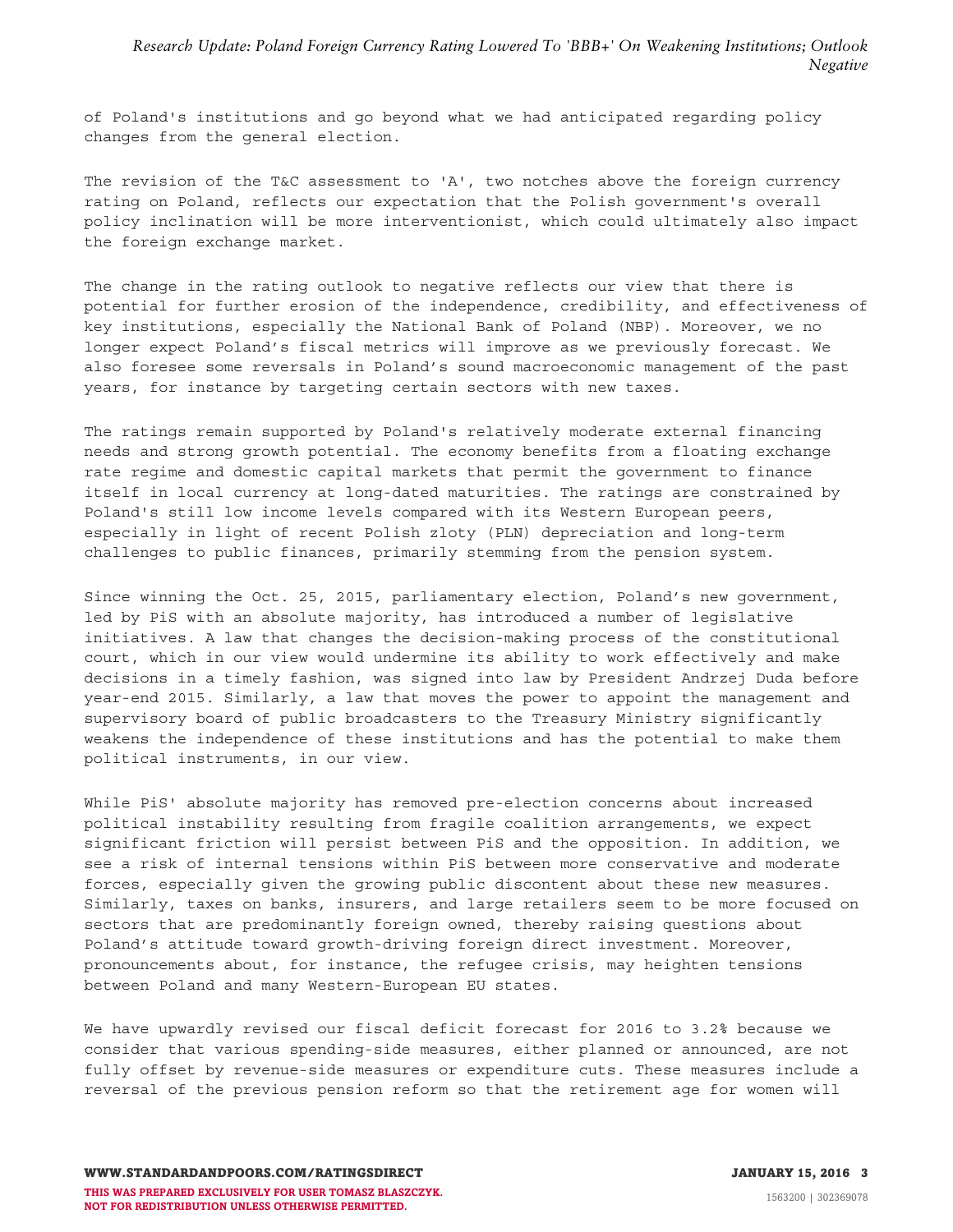of Poland's institutions and go beyond what we had anticipated regarding policy changes from the general election.

The revision of the T&C assessment to 'A', two notches above the foreign currency rating on Poland, reflects our expectation that the Polish government's overall policy inclination will be more interventionist, which could ultimately also impact the foreign exchange market.

The change in the rating outlook to negative reflects our view that there is potential for further erosion of the independence, credibility, and effectiveness of key institutions, especially the National Bank of Poland (NBP). Moreover, we no longer expect Poland's fiscal metrics will improve as we previously forecast. We also foresee some reversals in Poland's sound macroeconomic management of the past years, for instance by targeting certain sectors with new taxes.

The ratings remain supported by Poland's relatively moderate external financing needs and strong growth potential. The economy benefits from a floating exchange rate regime and domestic capital markets that permit the government to finance itself in local currency at long-dated maturities. The ratings are constrained by Poland's still low income levels compared with its Western European peers, especially in light of recent Polish zloty (PLN) depreciation and long-term challenges to public finances, primarily stemming from the pension system.

Since winning the Oct. 25, 2015, parliamentary election, Poland's new government, led by PiS with an absolute majority, has introduced a number of legislative initiatives. A law that changes the decision-making process of the constitutional court, which in our view would undermine its ability to work effectively and make decisions in a timely fashion, was signed into law by President Andrzej Duda before year-end 2015. Similarly, a law that moves the power to appoint the management and supervisory board of public broadcasters to the Treasury Ministry significantly weakens the independence of these institutions and has the potential to make them political instruments, in our view.

While PiS' absolute majority has removed pre-election concerns about increased political instability resulting from fragile coalition arrangements, we expect significant friction will persist between PiS and the opposition. In addition, we see a risk of internal tensions within PiS between more conservative and moderate forces, especially given the growing public discontent about these new measures. Similarly, taxes on banks, insurers, and large retailers seem to be more focused on sectors that are predominantly foreign owned, thereby raising questions about Poland's attitude toward growth-driving foreign direct investment. Moreover, pronouncements about, for instance, the refugee crisis, may heighten tensions between Poland and many Western-European EU states.

We have upwardly revised our fiscal deficit forecast for 2016 to 3.2% because we consider that various spending-side measures, either planned or announced, are not fully offset by revenue-side measures or expenditure cuts. These measures include a reversal of the previous pension reform so that the retirement age for women will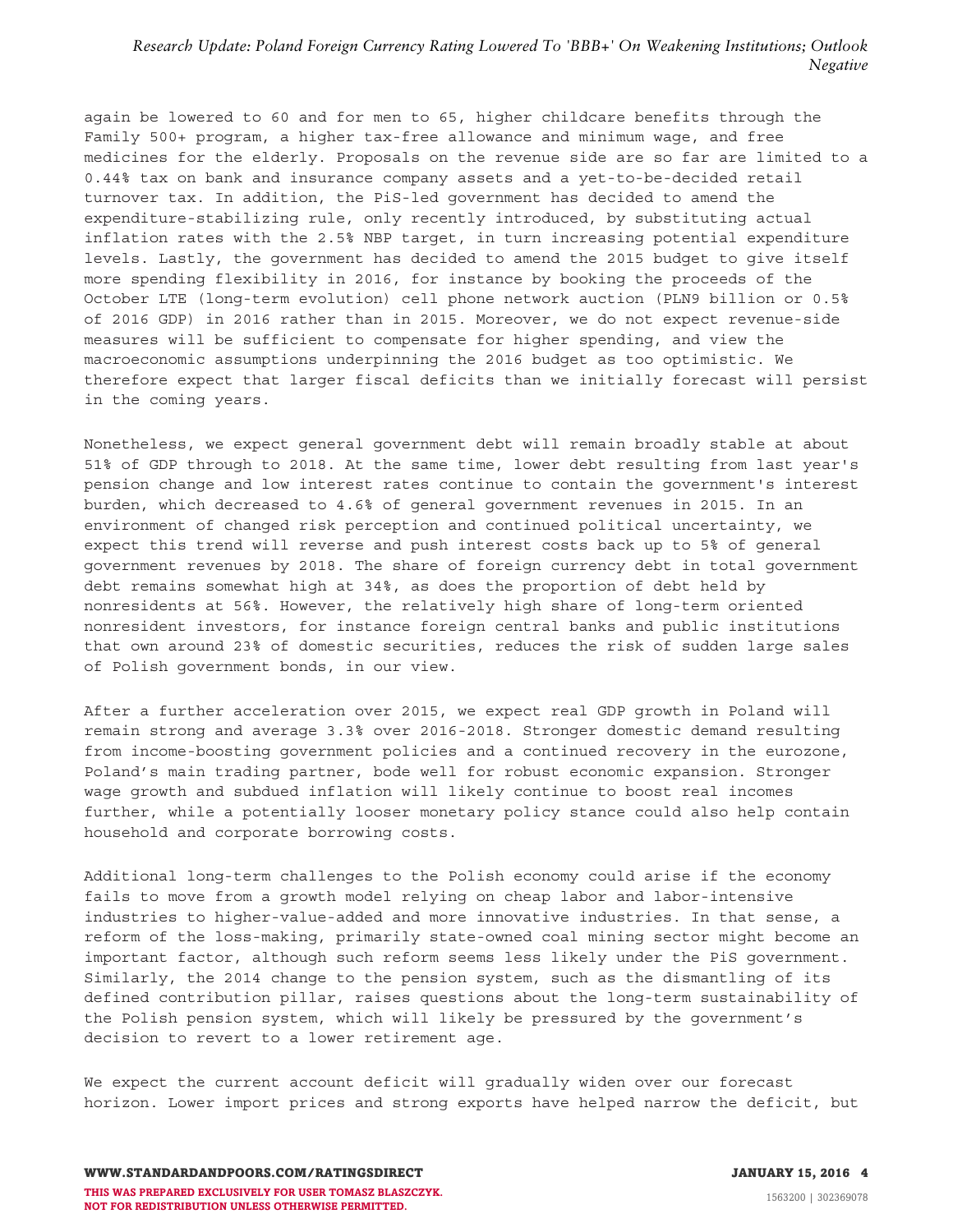again be lowered to 60 and for men to 65, higher childcare benefits through the Family 500+ program, a higher tax-free allowance and minimum wage, and free medicines for the elderly. Proposals on the revenue side are so far are limited to a 0.44% tax on bank and insurance company assets and a yet-to-be-decided retail turnover tax. In addition, the PiS-led government has decided to amend the expenditure-stabilizing rule, only recently introduced, by substituting actual inflation rates with the 2.5% NBP target, in turn increasing potential expenditure levels. Lastly, the government has decided to amend the 2015 budget to give itself more spending flexibility in 2016, for instance by booking the proceeds of the October LTE (long-term evolution) cell phone network auction (PLN9 billion or 0.5% of 2016 GDP) in 2016 rather than in 2015. Moreover, we do not expect revenue-side measures will be sufficient to compensate for higher spending, and view the macroeconomic assumptions underpinning the 2016 budget as too optimistic. We therefore expect that larger fiscal deficits than we initially forecast will persist in the coming years.

Nonetheless, we expect general government debt will remain broadly stable at about 51% of GDP through to 2018. At the same time, lower debt resulting from last year's pension change and low interest rates continue to contain the government's interest burden, which decreased to 4.6% of general government revenues in 2015. In an environment of changed risk perception and continued political uncertainty, we expect this trend will reverse and push interest costs back up to 5% of general government revenues by 2018. The share of foreign currency debt in total government debt remains somewhat high at 34%, as does the proportion of debt held by nonresidents at 56%. However, the relatively high share of long-term oriented nonresident investors, for instance foreign central banks and public institutions that own around 23% of domestic securities, reduces the risk of sudden large sales of Polish government bonds, in our view.

After a further acceleration over 2015, we expect real GDP growth in Poland will remain strong and average 3.3% over 2016-2018. Stronger domestic demand resulting from income-boosting government policies and a continued recovery in the eurozone, Poland's main trading partner, bode well for robust economic expansion. Stronger wage growth and subdued inflation will likely continue to boost real incomes further, while a potentially looser monetary policy stance could also help contain household and corporate borrowing costs.

Additional long-term challenges to the Polish economy could arise if the economy fails to move from a growth model relying on cheap labor and labor-intensive industries to higher-value-added and more innovative industries. In that sense, a reform of the loss-making, primarily state-owned coal mining sector might become an important factor, although such reform seems less likely under the PiS government. Similarly, the 2014 change to the pension system, such as the dismantling of its defined contribution pillar, raises questions about the long-term sustainability of the Polish pension system, which will likely be pressured by the government's decision to revert to a lower retirement age.

We expect the current account deficit will gradually widen over our forecast horizon. Lower import prices and strong exports have helped narrow the deficit, but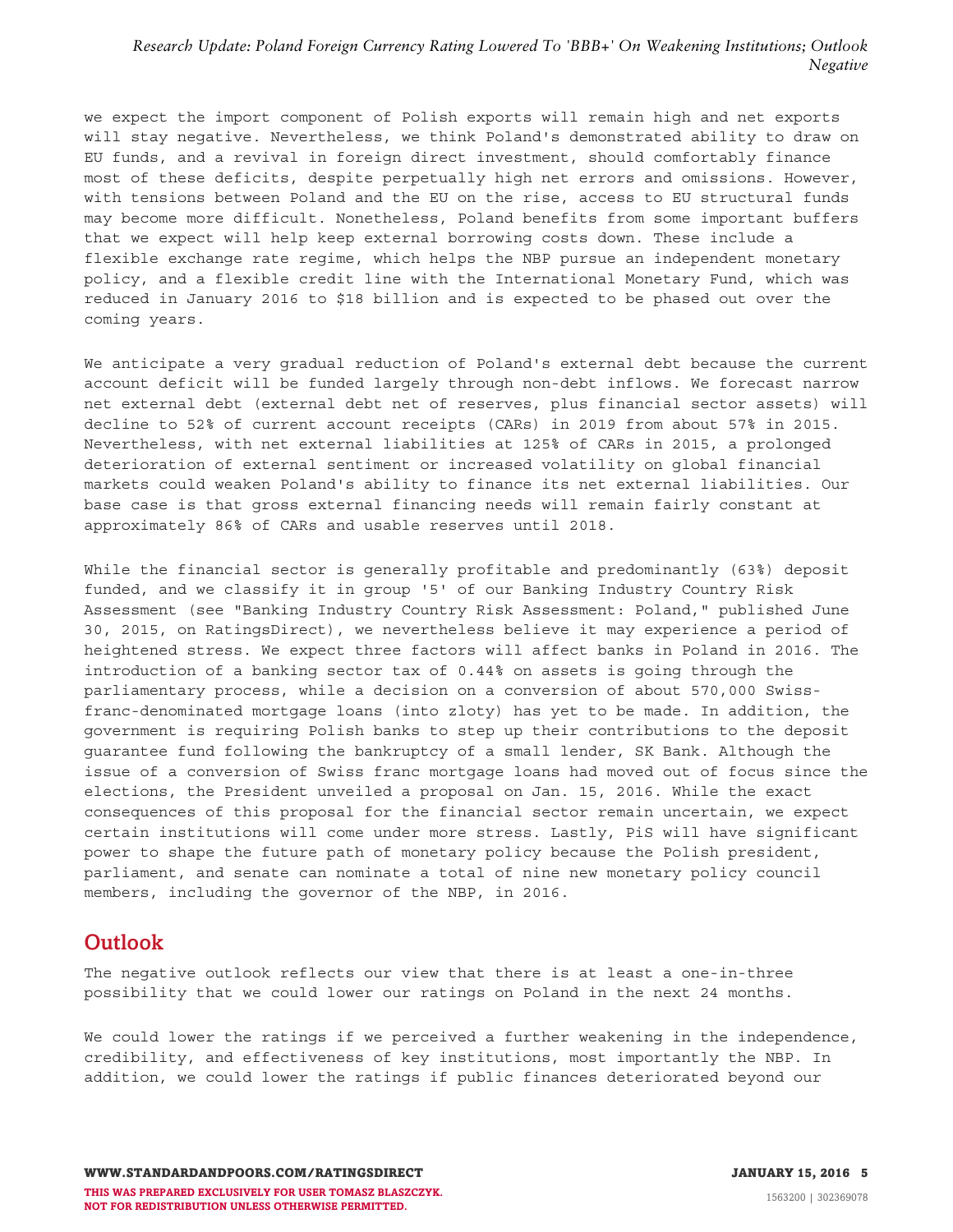<span id="page-4-0"></span>we expect the import component of Polish exports will remain high and net exports will stay negative. Nevertheless, we think Poland's demonstrated ability to draw on EU funds, and a revival in foreign direct investment, should comfortably finance most of these deficits, despite perpetually high net errors and omissions. However, with tensions between Poland and the EU on the rise, access to EU structural funds may become more difficult. Nonetheless, Poland benefits from some important buffers that we expect will help keep external borrowing costs down. These include a flexible exchange rate regime, which helps the NBP pursue an independent monetary policy, and a flexible credit line with the International Monetary Fund, which was reduced in January 2016 to \$18 billion and is expected to be phased out over the coming years.

We anticipate a very gradual reduction of Poland's external debt because the current account deficit will be funded largely through non-debt inflows. We forecast narrow net external debt (external debt net of reserves, plus financial sector assets) will decline to 52% of current account receipts (CARs) in 2019 from about 57% in 2015. Nevertheless, with net external liabilities at 125% of CARs in 2015, a prolonged deterioration of external sentiment or increased volatility on global financial markets could weaken Poland's ability to finance its net external liabilities. Our base case is that gross external financing needs will remain fairly constant at approximately 86% of CARs and usable reserves until 2018.

While the financial sector is generally profitable and predominantly (63%) deposit funded, and we classify it in group '5' of our Banking Industry Country Risk Assessment (see "Banking Industry Country Risk Assessment: Poland," published June 30, 2015, on RatingsDirect), we nevertheless believe it may experience a period of heightened stress. We expect three factors will affect banks in Poland in 2016. The introduction of a banking sector tax of 0.44% on assets is going through the parliamentary process, while a decision on a conversion of about 570,000 Swissfranc-denominated mortgage loans (into zloty) has yet to be made. In addition, the government is requiring Polish banks to step up their contributions to the deposit guarantee fund following the bankruptcy of a small lender, SK Bank. Although the issue of a conversion of Swiss franc mortgage loans had moved out of focus since the elections, the President unveiled a proposal on Jan. 15, 2016. While the exact consequences of this proposal for the financial sector remain uncertain, we expect certain institutions will come under more stress. Lastly, PiS will have significant power to shape the future path of monetary policy because the Polish president, parliament, and senate can nominate a total of nine new monetary policy council members, including the governor of the NBP, in 2016.

# **Outlook**

The negative outlook reflects our view that there is at least a one-in-three possibility that we could lower our ratings on Poland in the next 24 months.

We could lower the ratings if we perceived a further weakening in the independence, credibility, and effectiveness of key institutions, most importantly the NBP. In addition, we could lower the ratings if public finances deteriorated beyond our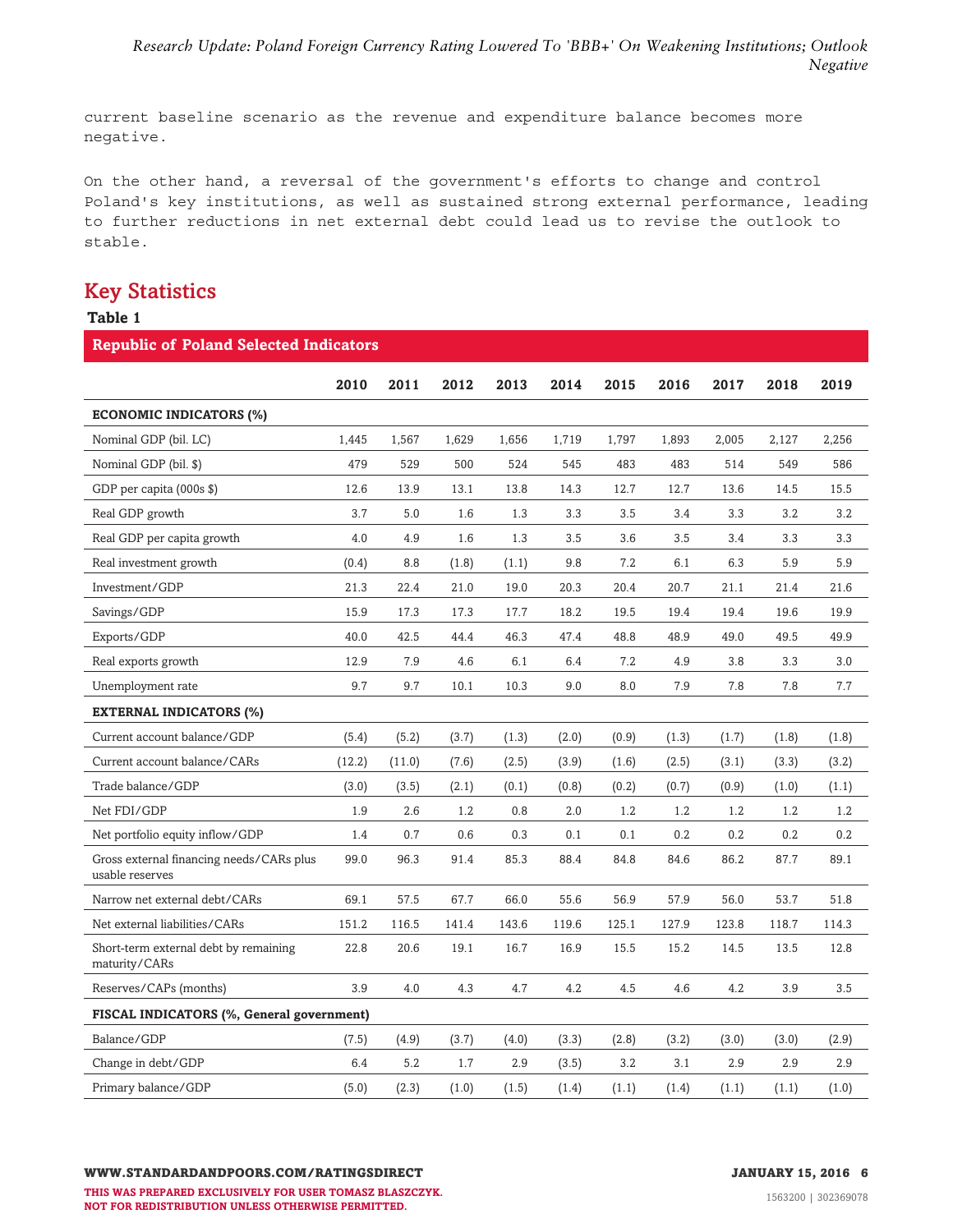<span id="page-5-0"></span>current baseline scenario as the revenue and expenditure balance becomes more negative.

On the other hand, a reversal of the government's efforts to change and control Poland's key institutions, as well as sustained strong external performance, leading to further reductions in net external debt could lead us to revise the outlook to stable.

# **Key Statistics**

## **Table 1**

| <b>Republic of Poland Selected Indicators</b>               |        |        |       |       |       |       |       |       |       |       |
|-------------------------------------------------------------|--------|--------|-------|-------|-------|-------|-------|-------|-------|-------|
|                                                             | 2010   | 2011   | 2012  | 2013  | 2014  | 2015  | 2016  | 2017  | 2018  | 2019  |
| <b>ECONOMIC INDICATORS (%)</b>                              |        |        |       |       |       |       |       |       |       |       |
| Nominal GDP (bil. LC)                                       | 1,445  | 1,567  | 1,629 | 1,656 | 1,719 | 1,797 | 1,893 | 2,005 | 2,127 | 2,256 |
| Nominal GDP (bil. \$)                                       | 479    | 529    | 500   | 524   | 545   | 483   | 483   | 514   | 549   | 586   |
| GDP per capita (000s \$)                                    | 12.6   | 13.9   | 13.1  | 13.8  | 14.3  | 12.7  | 12.7  | 13.6  | 14.5  | 15.5  |
| Real GDP growth                                             | 3.7    | 5.0    | 1.6   | 1.3   | 3.3   | 3.5   | 3.4   | 3.3   | 3.2   | 3.2   |
| Real GDP per capita growth                                  | 4.0    | 4.9    | 1.6   | 1.3   | 3.5   | 3.6   | 3.5   | 3.4   | 3.3   | 3.3   |
| Real investment growth                                      | (0.4)  | 8.8    | (1.8) | (1.1) | 9.8   | 7.2   | 6.1   | 6.3   | 5.9   | 5.9   |
| Investment/GDP                                              | 21.3   | 22.4   | 21.0  | 19.0  | 20.3  | 20.4  | 20.7  | 21.1  | 21.4  | 21.6  |
| Savings/GDP                                                 | 15.9   | 17.3   | 17.3  | 17.7  | 18.2  | 19.5  | 19.4  | 19.4  | 19.6  | 19.9  |
| Exports/GDP                                                 | 40.0   | 42.5   | 44.4  | 46.3  | 47.4  | 48.8  | 48.9  | 49.0  | 49.5  | 49.9  |
| Real exports growth                                         | 12.9   | 7.9    | 4.6   | 6.1   | 6.4   | 7.2   | 4.9   | 3.8   | 3.3   | 3.0   |
| Unemployment rate                                           | 9.7    | 9.7    | 10.1  | 10.3  | 9.0   | 8.0   | 7.9   | 7.8   | 7.8   | 7.7   |
| <b>EXTERNAL INDICATORS (%)</b>                              |        |        |       |       |       |       |       |       |       |       |
| Current account balance/GDP                                 | (5.4)  | (5.2)  | (3.7) | (1.3) | (2.0) | (0.9) | (1.3) | (1.7) | (1.8) | (1.8) |
| Current account balance/CARs                                | (12.2) | (11.0) | (7.6) | (2.5) | (3.9) | (1.6) | (2.5) | (3.1) | (3.3) | (3.2) |
| Trade balance/GDP                                           | (3.0)  | (3.5)  | (2.1) | (0.1) | (0.8) | (0.2) | (0.7) | (0.9) | (1.0) | (1.1) |
| Net FDI/GDP                                                 | 1.9    | 2.6    | 1.2   | 0.8   | 2.0   | 1.2   | 1.2   | 1.2   | 1.2   | 1.2   |
| Net portfolio equity inflow/GDP                             | 1.4    | 0.7    | 0.6   | 0.3   | 0.1   | 0.1   | 0.2   | 0.2   | 0.2   | 0.2   |
| Gross external financing needs/CARs plus<br>usable reserves | 99.0   | 96.3   | 91.4  | 85.3  | 88.4  | 84.8  | 84.6  | 86.2  | 87.7  | 89.1  |
| Narrow net external debt/CARs                               | 69.1   | 57.5   | 67.7  | 66.0  | 55.6  | 56.9  | 57.9  | 56.0  | 53.7  | 51.8  |
| Net external liabilities/CARs                               | 151.2  | 116.5  | 141.4 | 143.6 | 119.6 | 125.1 | 127.9 | 123.8 | 118.7 | 114.3 |
| Short-term external debt by remaining<br>maturity/CARs      | 22.8   | 20.6   | 19.1  | 16.7  | 16.9  | 15.5  | 15.2  | 14.5  | 13.5  | 12.8  |
| Reserves/CAPs (months)                                      | 3.9    | 4.0    | 4.3   | 4.7   | 4.2   | 4.5   | 4.6   | 4.2   | 3.9   | 3.5   |
| FISCAL INDICATORS (%, General government)                   |        |        |       |       |       |       |       |       |       |       |
| Balance/GDP                                                 | (7.5)  | (4.9)  | (3.7) | (4.0) | (3.3) | (2.8) | (3.2) | (3.0) | (3.0) | (2.9) |
| Change in debt/GDP                                          | 6.4    | 5.2    | 1.7   | 2.9   | (3.5) | 3.2   | 3.1   | 2.9   | 2.9   | 2.9   |
| Primary balance/GDP                                         | (5.0)  | (2.3)  | (1.0) | (1.5) | (1.4) | (1.1) | (1.4) | (1.1) | (1.1) | (1.0) |

**THIS WAS PREPARED EXCLUSIVELY FOR USER TOMASZ BLASZCZYK. NOT FOR REDISTRIBUTION UNLESS OTHERWISE PERMITTED.**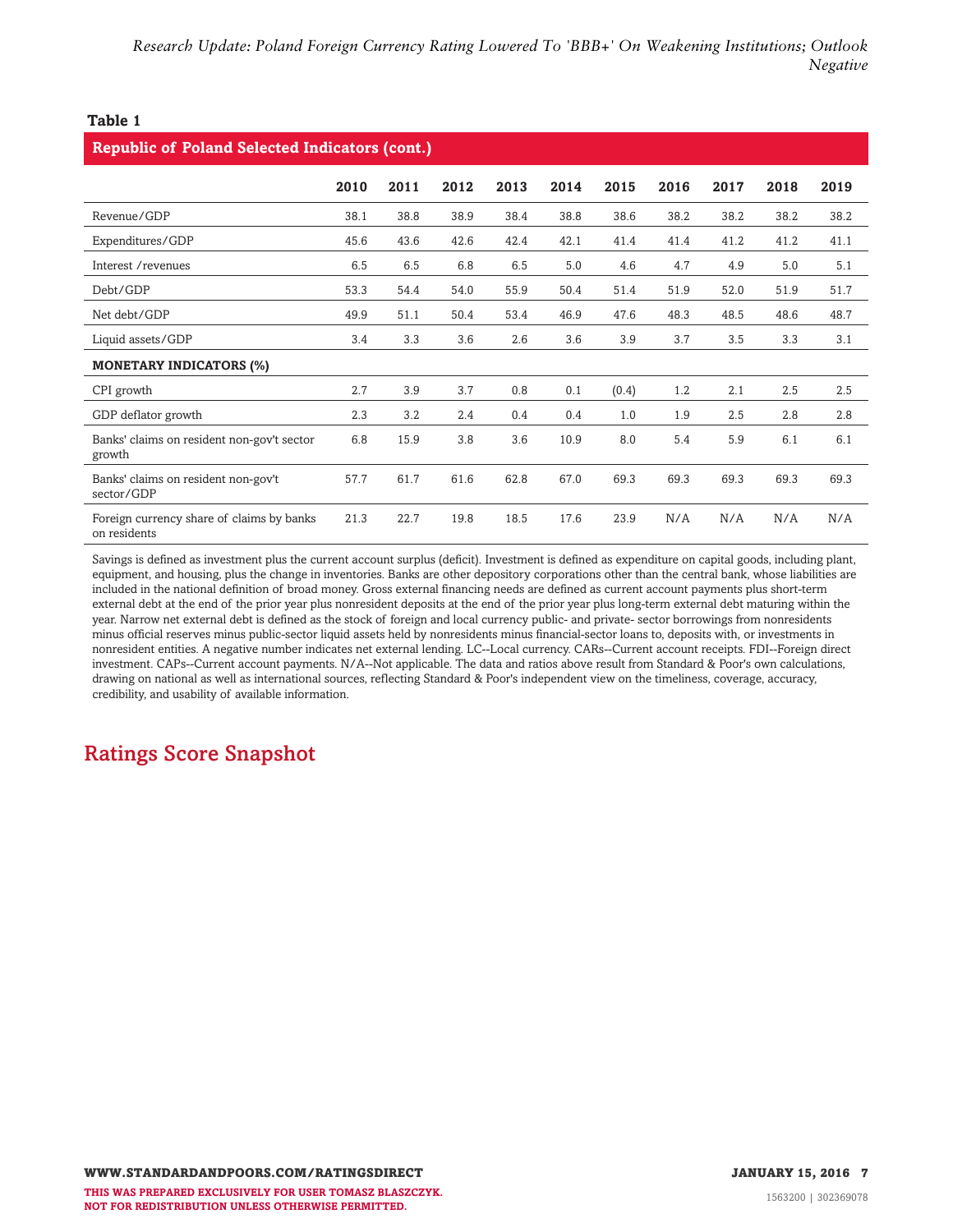### <span id="page-6-0"></span>**Table 1**

| <b>Republic of Poland Selected Indicators (cont.)</b>     |      |      |      |      |      |       |      |      |      |      |
|-----------------------------------------------------------|------|------|------|------|------|-------|------|------|------|------|
|                                                           | 2010 | 2011 | 2012 | 2013 | 2014 | 2015  | 2016 | 2017 | 2018 | 2019 |
| Revenue/GDP                                               | 38.1 | 38.8 | 38.9 | 38.4 | 38.8 | 38.6  | 38.2 | 38.2 | 38.2 | 38.2 |
| Expenditures/GDP                                          | 45.6 | 43.6 | 42.6 | 42.4 | 42.1 | 41.4  | 41.4 | 41.2 | 41.2 | 41.1 |
| Interest / revenues                                       | 6.5  | 6.5  | 6.8  | 6.5  | 5.0  | 4.6   | 4.7  | 4.9  | 5.0  | 5.1  |
| Debt/GDP                                                  | 53.3 | 54.4 | 54.0 | 55.9 | 50.4 | 51.4  | 51.9 | 52.0 | 51.9 | 51.7 |
| Net debt/GDP                                              | 49.9 | 51.1 | 50.4 | 53.4 | 46.9 | 47.6  | 48.3 | 48.5 | 48.6 | 48.7 |
| Liquid assets/GDP                                         | 3.4  | 3.3  | 3.6  | 2.6  | 3.6  | 3.9   | 3.7  | 3.5  | 3.3  | 3.1  |
| <b>MONETARY INDICATORS (%)</b>                            |      |      |      |      |      |       |      |      |      |      |
| CPI growth                                                | 2.7  | 3.9  | 3.7  | 0.8  | 0.1  | (0.4) | 1.2  | 2.1  | 2.5  | 2.5  |
| GDP deflator growth                                       | 2.3  | 3.2  | 2.4  | 0.4  | 0.4  | 1.0   | 1.9  | 2.5  | 2.8  | 2.8  |
| Banks' claims on resident non-gov't sector<br>growth      | 6.8  | 15.9 | 3.8  | 3.6  | 10.9 | 8.0   | 5.4  | 5.9  | 6.1  | 6.1  |
| Banks' claims on resident non-gov't<br>sector/GDP         | 57.7 | 61.7 | 61.6 | 62.8 | 67.0 | 69.3  | 69.3 | 69.3 | 69.3 | 69.3 |
| Foreign currency share of claims by banks<br>on residents | 21.3 | 22.7 | 19.8 | 18.5 | 17.6 | 23.9  | N/A  | N/A  | N/A  | N/A  |

Savings is defined as investment plus the current account surplus (deficit). Investment is defined as expenditure on capital goods, including plant, equipment, and housing, plus the change in inventories. Banks are other depository corporations other than the central bank, whose liabilities are included in the national definition of broad money. Gross external financing needs are defined as current account payments plus short-term external debt at the end of the prior year plus nonresident deposits at the end of the prior year plus long-term external debt maturing within the year. Narrow net external debt is defined as the stock of foreign and local currency public- and private- sector borrowings from nonresidents minus official reserves minus public-sector liquid assets held by nonresidents minus financial-sector loans to, deposits with, or investments in nonresident entities. A negative number indicates net external lending. LC--Local currency. CARs--Current account receipts. FDI--Foreign direct investment. CAPs--Current account payments. N/A--Not applicable. The data and ratios above result from Standard & Poor's own calculations, drawing on national as well as international sources, reflecting Standard & Poor's independent view on the timeliness, coverage, accuracy, credibility, and usability of available information.

# **Ratings Score Snapshot**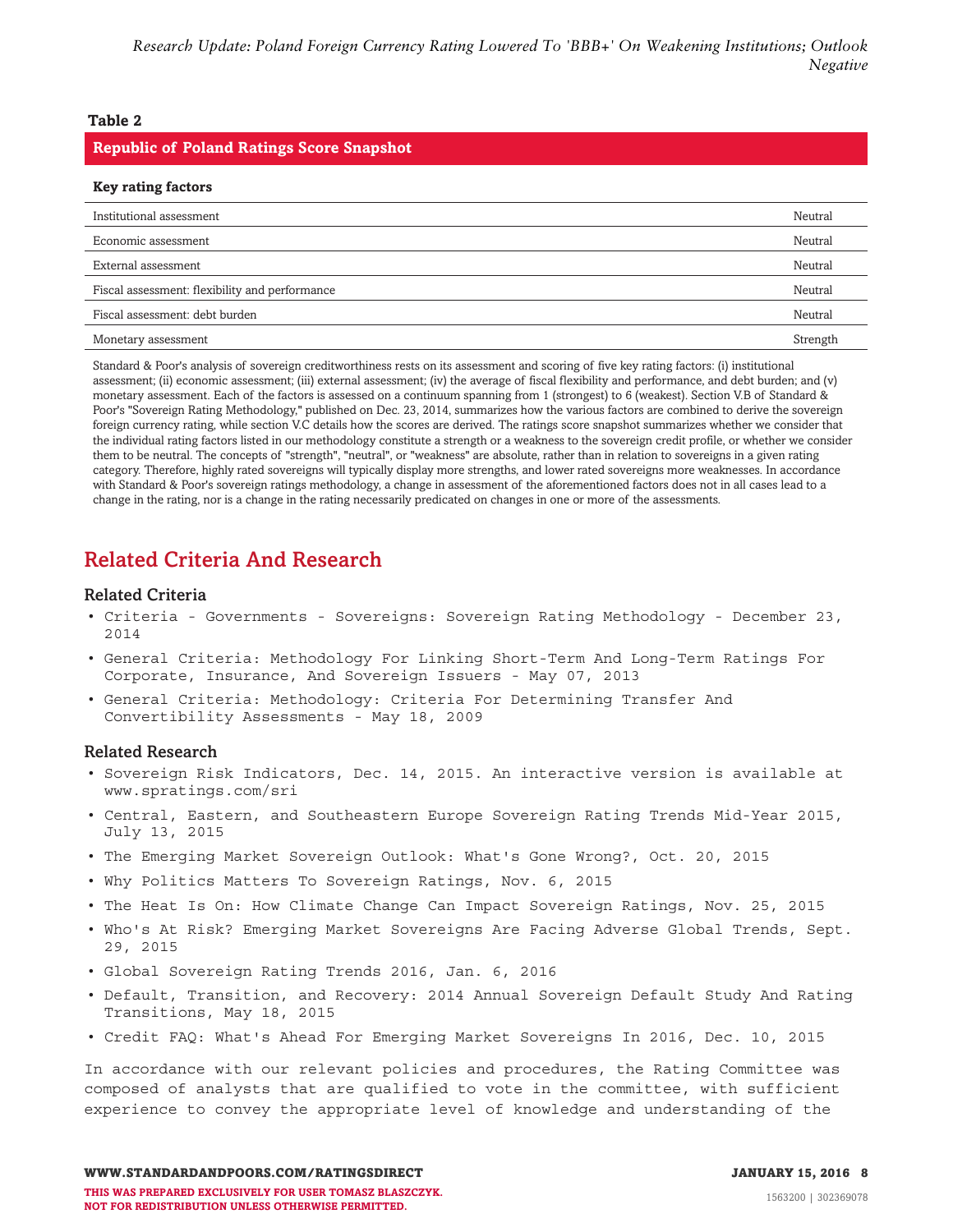### <span id="page-7-0"></span>**Table 2**

#### **Republic of Poland Ratings Score Snapshot**

| <b>Key rating factors</b>                      |          |
|------------------------------------------------|----------|
| Institutional assessment                       | Neutral  |
| Economic assessment                            | Neutral  |
| External assessment                            | Neutral  |
| Fiscal assessment: flexibility and performance | Neutral  |
| Fiscal assessment: debt burden                 | Neutral  |
| Monetary assessment                            | Strength |

Standard & Poor's analysis of sovereign creditworthiness rests on its assessment and scoring of five key rating factors: (i) institutional assessment; (ii) economic assessment; (iii) external assessment; (iv) the average of fiscal flexibility and performance, and debt burden; and (v) monetary assessment. Each of the factors is assessed on a continuum spanning from 1 (strongest) to 6 (weakest). Section V.B of Standard & Poor's "Sovereign Rating Methodology," published on Dec. 23, 2014, summarizes how the various factors are combined to derive the sovereign foreign currency rating, while section V.C details how the scores are derived. The ratings score snapshot summarizes whether we consider that the individual rating factors listed in our methodology constitute a strength or a weakness to the sovereign credit profile, or whether we consider them to be neutral. The concepts of "strength", "neutral", or "weakness" are absolute, rather than in relation to sovereigns in a given rating category. Therefore, highly rated sovereigns will typically display more strengths, and lower rated sovereigns more weaknesses. In accordance with Standard & Poor's sovereign ratings methodology, a change in assessment of the aforementioned factors does not in all cases lead to a change in the rating, nor is a change in the rating necessarily predicated on changes in one or more of the assessments.

# **Related Criteria And Research**

#### **Related Criteria**

- Criteria Governments Sovereigns: Sovereign Rating Methodology December 23, 2014
- General Criteria: Methodology For Linking Short-Term And Long-Term Ratings For Corporate, Insurance, And Sovereign Issuers - May 07, 2013
- General Criteria: Methodology: Criteria For Determining Transfer And Convertibility Assessments - May 18, 2009

#### **Related Research**

- Sovereign Risk Indicators, Dec. 14, 2015. An interactive version is available at www.spratings.com/sri
- Central, Eastern, and Southeastern Europe Sovereign Rating Trends Mid-Year 2015, July 13, 2015
- The Emerging Market Sovereign Outlook: What's Gone Wrong?, Oct. 20, 2015
- Why Politics Matters To Sovereign Ratings, Nov. 6, 2015
- The Heat Is On: How Climate Change Can Impact Sovereign Ratings, Nov. 25, 2015
- Who's At Risk? Emerging Market Sovereigns Are Facing Adverse Global Trends, Sept. 29, 2015
- Global Sovereign Rating Trends 2016, Jan. 6, 2016
- Default, Transition, and Recovery: 2014 Annual Sovereign Default Study And Rating Transitions, May 18, 2015
- Credit FAQ: What's Ahead For Emerging Market Sovereigns In 2016, Dec. 10, 2015

In accordance with our relevant policies and procedures, the Rating Committee was composed of analysts that are qualified to vote in the committee, with sufficient experience to convey the appropriate level of knowledge and understanding of the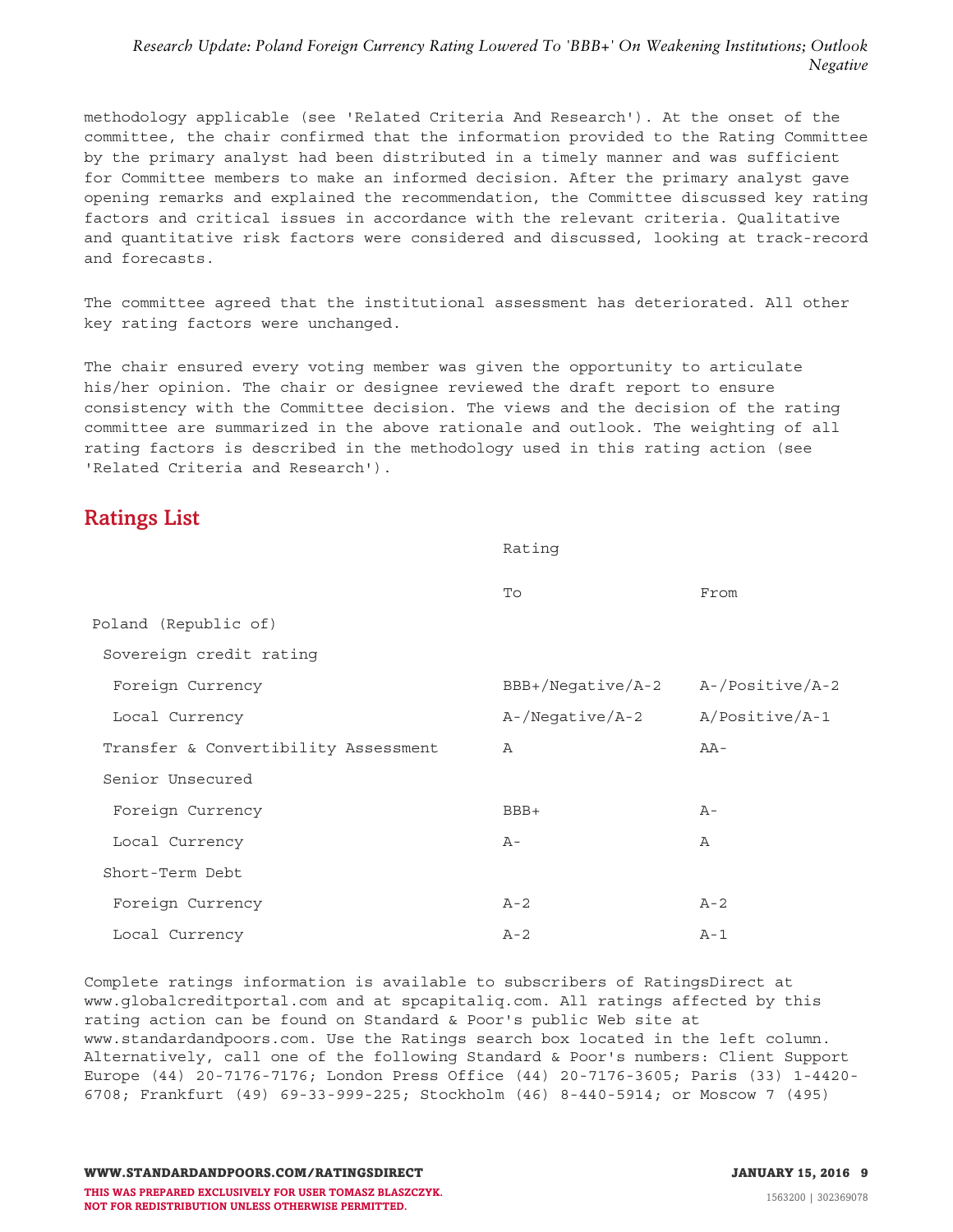<span id="page-8-0"></span>methodology applicable (see 'Related Criteria And Research'). At the onset of the committee, the chair confirmed that the information provided to the Rating Committee by the primary analyst had been distributed in a timely manner and was sufficient for Committee members to make an informed decision. After the primary analyst gave opening remarks and explained the recommendation, the Committee discussed key rating factors and critical issues in accordance with the relevant criteria. Qualitative and quantitative risk factors were considered and discussed, looking at track-record and forecasts.

The committee agreed that the institutional assessment has deteriorated. All other key rating factors were unchanged.

The chair ensured every voting member was given the opportunity to articulate his/her opinion. The chair or designee reviewed the draft report to ensure consistency with the Committee decision. The views and the decision of the rating committee are summarized in the above rationale and outlook. The weighting of all rating factors is described in the methodology used in this rating action (see 'Related Criteria and Research').

# **Ratings List**

|                                      | Rating               |                 |  |  |
|--------------------------------------|----------------------|-----------------|--|--|
|                                      | To                   | From            |  |  |
| Poland (Republic of)                 |                      |                 |  |  |
| Sovereign credit rating              |                      |                 |  |  |
| Foreign Currency                     | BBB+/Negative/A-2    | A-/Positive/A-2 |  |  |
| Local Currency                       | $A - / Negative/A-2$ | A/Positive/A-1  |  |  |
| Transfer & Convertibility Assessment | $\mathbb A$          | $AA-$           |  |  |
| Senior Unsecured                     |                      |                 |  |  |
| Foreign Currency                     | $BBB+$               | $A -$           |  |  |
| Local Currency                       | $A -$                | Α               |  |  |
| Short-Term Debt                      |                      |                 |  |  |
| Foreign Currency                     | $A - 2$              | $A-2$           |  |  |
| Local Currency                       | $A - 2$              | $A-1$           |  |  |

Complete ratings information is available to subscribers of RatingsDirect at www.globalcreditportal.com and at spcapitaliq.com. All ratings affected by this rating action can be found on Standard & Poor's public Web site at www.standardandpoors.com. Use the Ratings search box located in the left column. Alternatively, call one of the following Standard & Poor's numbers: Client Support Europe (44) 20-7176-7176; London Press Office (44) 20-7176-3605; Paris (33) 1-4420- 6708; Frankfurt (49) 69-33-999-225; Stockholm (46) 8-440-5914; or Moscow 7 (495)

**WWW.STANDARDANDPOORS.COM/RATINGSDIRECT JANUARY 15, 2016 9 THIS WAS PREPARED EXCLUSIVELY FOR USER TOMASZ BLASZCZYK. NOT FOR REDISTRIBUTION UNLESS OTHERWISE PERMITTED.**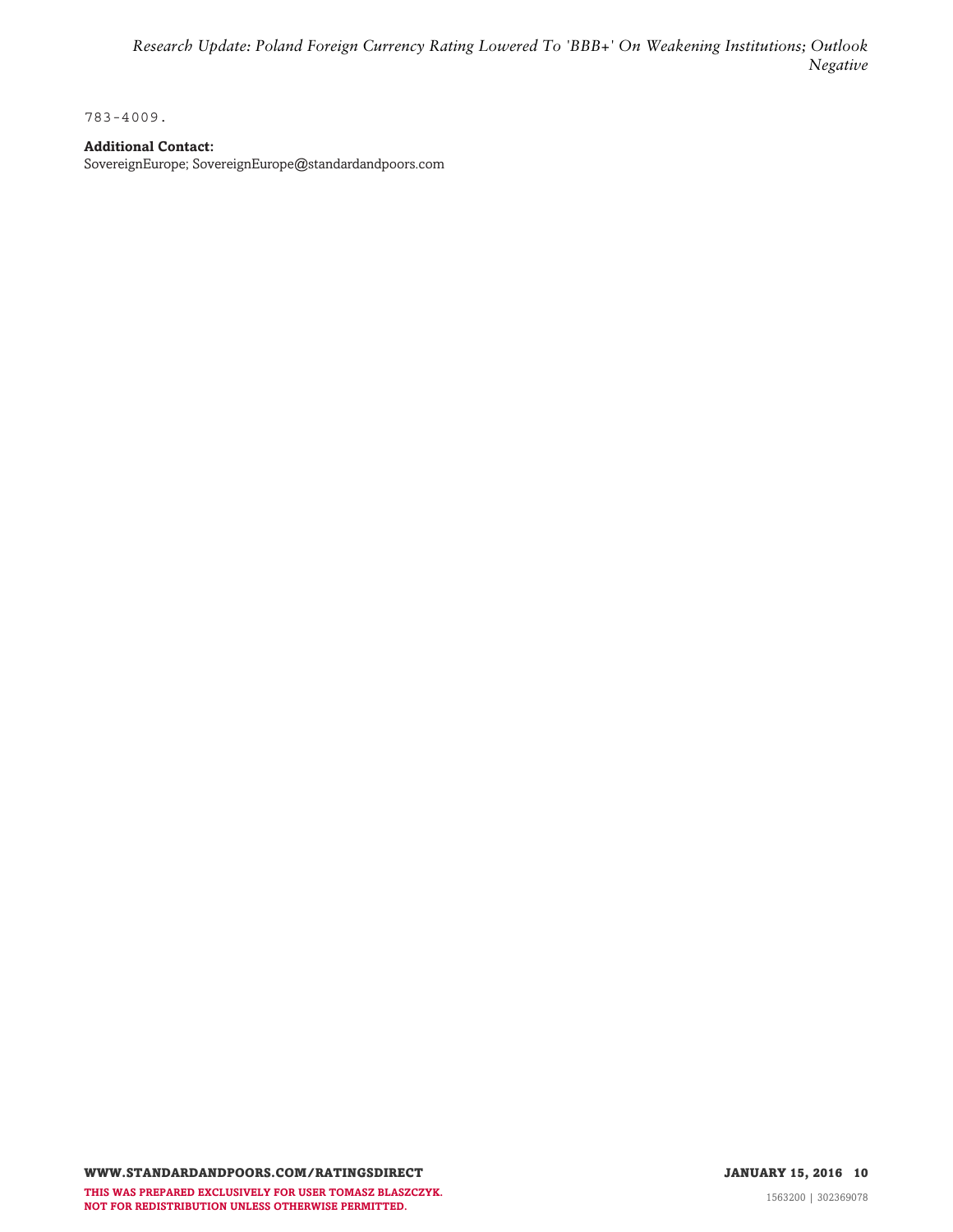783-4009.

# **Additional Contact:**

SovereignEurope; SovereignEurope@standardandpoors.com